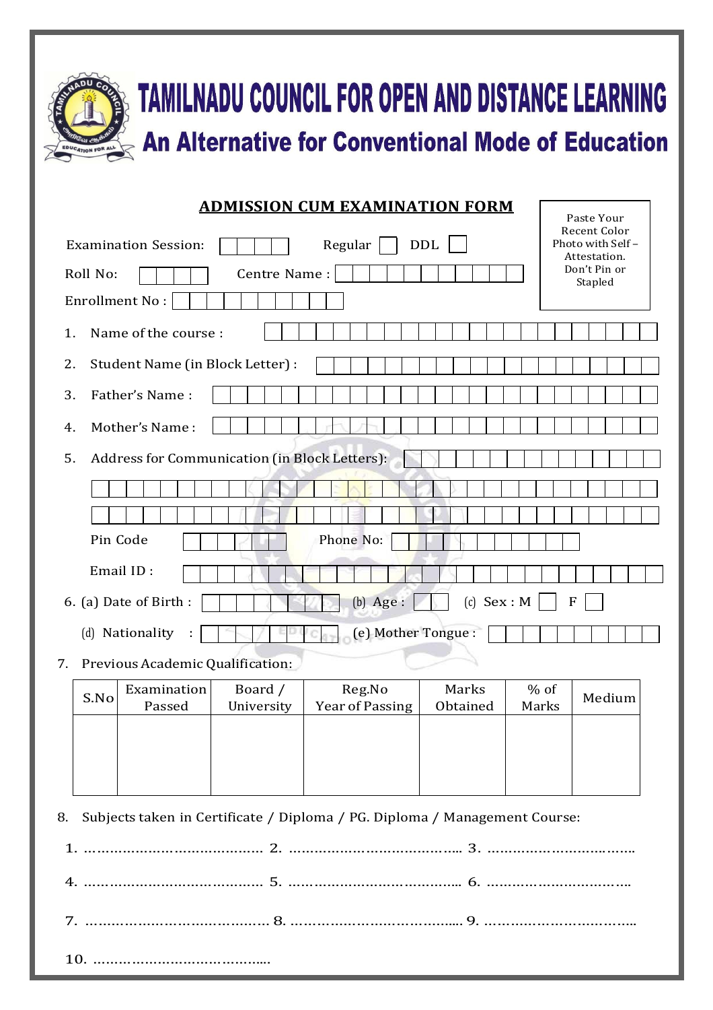

## **TAMILNADU COUNCIL FOR OPEN AND DISTANCE LEARNING An Alternative for Conventional Mode of Education**

Paste Your

## **ADMISSION CUM EXAMINATION FORM**

| <b>DDL</b><br>Regular<br><b>Examination Session:</b>                   | Recent Color<br>Photo with Self-<br>Attestation. |  |  |  |
|------------------------------------------------------------------------|--------------------------------------------------|--|--|--|
| Roll No:<br>Centre Name:                                               | Don't Pin or<br>Stapled                          |  |  |  |
| <b>Enrollment No:</b>                                                  |                                                  |  |  |  |
| Name of the course :<br>1.                                             |                                                  |  |  |  |
| 2.<br>Student Name (in Block Letter) :                                 |                                                  |  |  |  |
| Father's Name:<br>3.                                                   |                                                  |  |  |  |
| Mother's Name:<br>4.                                                   |                                                  |  |  |  |
| Address for Communication (in Block Letters):<br>5.                    |                                                  |  |  |  |
|                                                                        |                                                  |  |  |  |
|                                                                        |                                                  |  |  |  |
| Pin Code<br>Phone No:                                                  |                                                  |  |  |  |
| Email ID:                                                              |                                                  |  |  |  |
| $(c)$ Sex : M<br>$(b)$ Age :<br>6. (a) Date of Birth :<br>$\mathbf{F}$ |                                                  |  |  |  |
| (e) Mother Tongue :<br>(d) Nationality                                 |                                                  |  |  |  |
| Previous Academic Qualification:<br>7.                                 |                                                  |  |  |  |
| Marks<br>Examination<br>Board /<br>$%$ of<br>Reg.No<br>$C$ $N_{\odot}$ | $M$ odium                                        |  |  |  |

| S.No | <b>Examination</b> | Board /    | Reg.No          | Marks    | $%$ of | Medium |
|------|--------------------|------------|-----------------|----------|--------|--------|
|      | Passed             | University | Year of Passing | Obtained | Marks  |        |
|      |                    |            |                 |          |        |        |
|      |                    |            |                 |          |        |        |
|      |                    |            |                 |          |        |        |
|      |                    |            |                 |          |        |        |
|      |                    |            |                 |          |        |        |

8. Subjects taken in Certificate / Diploma / PG. Diploma / Management Course: